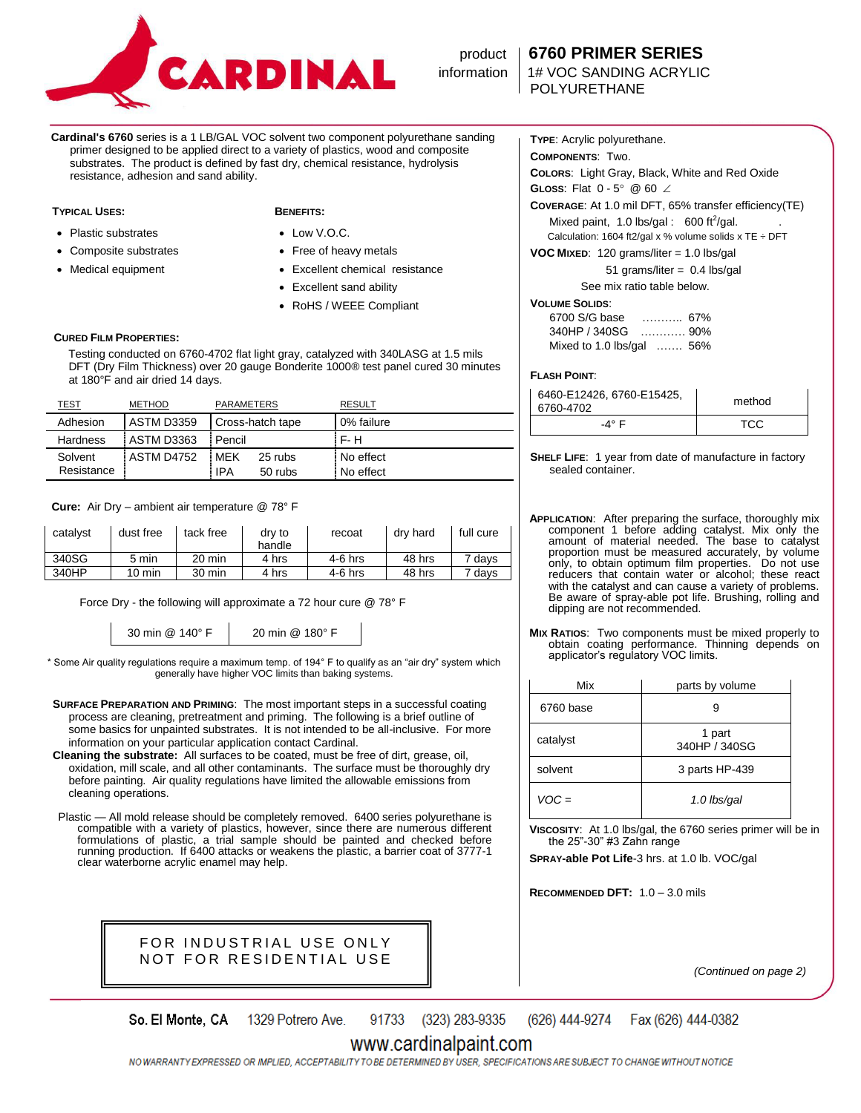

### product **6760 PRIMER SERIES**

information 1# VOC SANDING ACRYLIC

**Cardinal's 6760** series is a 1 LB/GAL VOC solvent two component polyurethane sanding primer designed to be applied direct to a variety of plastics, wood and composite substrates. The product is defined by fast dry, chemical resistance, hydrolysis resistance, adhesion and sand ability.

### **TYPICAL USES: BENEFITS:**

- Plastic substrates
- Composite substrates
- Medical equipment

- Low V.O.C.
- Free of heavy metals Excellent chemical resistance
- Excellent sand ability
- RoHS / WEEE Compliant

### **CURED FILM PROPERTIES:**

 Testing conducted on 6760-4702 flat light gray, catalyzed with 340LASG at 1.5 mils DFT (Dry Film Thickness) over 20 gauge Bonderite 1000® test panel cured 30 minutes at 180°F and air dried 14 days.

| TEST                  | <b>METHOD</b>     | <b>PARAMETERS</b>                    | <b>RESULT</b>          |
|-----------------------|-------------------|--------------------------------------|------------------------|
| Adhesion              | <b>ASTM D3359</b> | Cross-hatch tape                     | 0% failure             |
| Hardness              | ASTM D3363        | : Pencil                             | F- H                   |
| Solvent<br>Resistance | <b>ASTM D4752</b> | : MFK<br>25 rubs<br>: IPA<br>50 rubs | No effect<br>No effect |

 **Cure:** Air Dry – ambient air temperature @ 78° F

| catalyst | dust free | tack free | dry to<br>handle | recoat    | dry hard | full cure |
|----------|-----------|-----------|------------------|-----------|----------|-----------|
| 340SG    | 5 min     | 20 min    | 4 hrs            | $4-6$ hrs | 48 hrs   | 7 davs    |
| 340HP    | 10 min    | 30 min    | 4 hrs            | 4-6 hrs   | 48 hrs   | 7 days    |

Force Dry - the following will approximate a 72 hour cure @ 78° F

30 min @ 140° F 20 min @ 180° F

\* Some Air quality regulations require a maximum temp. of 194° F to qualify as an "air dry" system which generally have higher VOC limits than baking systems.

**SURFACE PREPARATION AND PRIMING**: The most important steps in a successful coating process are cleaning, pretreatment and priming. The following is a brief outline of some basics for unpainted substrates. It is not intended to be all-inclusive. For more information on your particular application contact Cardinal.

**Cleaning the substrate:** All surfaces to be coated, must be free of dirt, grease, oil, oxidation, mill scale, and all other contaminants. The surface must be thoroughly dry before painting. Air quality regulations have limited the allowable emissions from cleaning operations.

Plastic — All mold release should be completely removed. 6400 series polyurethane is compatible with a variety of plastics, however, since there are numerous different formulations of plastic, a trial sample should be painted and checked before running production. If 6400 attacks or weakens the plastic, a barrier coat of 3777-1 clear waterborne acrylic enamel may help.



**TYPE**: Acrylic polyurethane. **COMPONENTS**: Two.

**COLORS**: Light Gray, Black, White and Red Oxide

**GLOSS:** Flat  $0 - 5^{\circ}$  @ 60  $\angle$ 

**COVERAGE**: At 1.0 mil DFT, 65% transfer efficiency(TE)

Mixed paint,  $1.0$  lbs/gal :  $600$  ft<sup>2</sup>/gal. Calculation: 1604 ft2/gal x % volume solids x TE  $\div$  DFT

**VOC MIXED**: 120 grams/liter = 1.0 lbs/gal

 51 grams/liter = 0.4 lbs/gal See mix ratio table below.

### **VOLUME SOLIDS**:

| 6700 S/G base                     |       |  |
|-----------------------------------|-------|--|
| 340HP / 340SG                     | . 90% |  |
| Mixed to 1.0 lbs/gal $\ldots$ 56% |       |  |

### **FLASH POINT**:

| 6460-E12426, 6760-E15425,<br>6760-4702 | method |  |
|----------------------------------------|--------|--|
| - $A^{\circ}$ F                        | TCC    |  |

**SHELF LIFE**: 1 year from date of manufacture in factory sealed container.

- **APPLICATION**: After preparing the surface, thoroughly mix component 1 before adding catalyst. Mix only the amount of material needed. The base to catalyst proportion must be measured accurately, by volume only, to obtain optimum film properties. Do not use reducers that contain water or alcohol; these react with the catalyst and can cause a variety of problems. Be aware of spray-able pot life. Brushing, rolling and dipping are not recommended.
- **MIX RATIOS**: Two components must be mixed properly to obtain coating performance. Thinning depends on applicator's regulatory VOC limits.

| Mix       | parts by volume         |  |
|-----------|-------------------------|--|
| 6760 base |                         |  |
| catalyst  | 1 part<br>340HP / 340SG |  |
| solvent   | 3 parts HP-439          |  |
| $VOC =$   | 1.0 lbs/gal             |  |

**VISCOSITY**: At 1.0 lbs/gal, the 6760 series primer will be in the  $25$ "-30" #3 Zahn range

**SPRAY-able Pot Life**-3 hrs. at 1.0 lb. VOC/gal

**RECOMMENDED DFT:** 1.0 – 3.0 mils

*(Continued on page 2)*

91733 (323) 283-9335 So. El Monte, CA 1329 Potrero Ave. (626) 444-9274 Fax (626) 444-0382

## www.cardinalpaint.com

NO WARRANTY EXPRESSED OR IMPLIED, ACCEPTABILITY TO BE DETERMINED BY USER, SPECIFICATIONS ARE SUBJECT TO CHANGE WITHOUT NOTICE